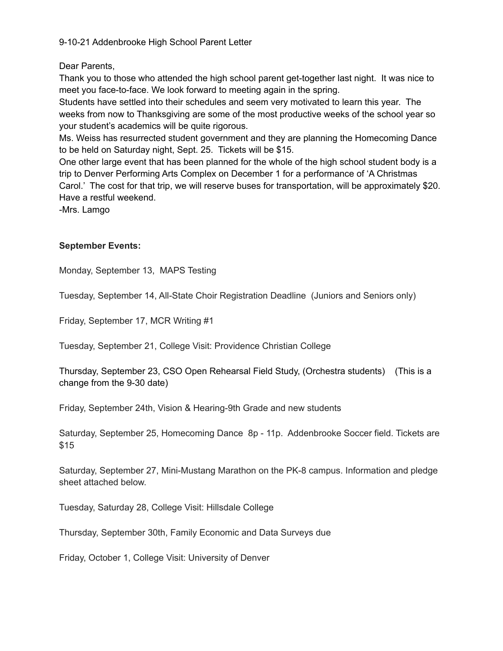9-10-21 Addenbrooke High School Parent Letter

Dear Parents,

Thank you to those who attended the high school parent get-together last night. It was nice to meet you face-to-face. We look forward to meeting again in the spring.

Students have settled into their schedules and seem very motivated to learn this year. The weeks from now to Thanksgiving are some of the most productive weeks of the school year so your student's academics will be quite rigorous.

Ms. Weiss has resurrected student government and they are planning the Homecoming Dance to be held on Saturday night, Sept. 25. Tickets will be \$15.

One other large event that has been planned for the whole of the high school student body is a trip to Denver Performing Arts Complex on December 1 for a performance of 'A Christmas Carol.' The cost for that trip, we will reserve buses for transportation, will be approximately \$20. Have a restful weekend.

-Mrs. Lamgo

# **September Events:**

Monday, September 13, MAPS Testing

Tuesday, September 14, All-State Choir Registration Deadline (Juniors and Seniors only)

Friday, September 17, MCR Writing #1

Tuesday, September 21, College Visit: Providence Christian College

Thursday, September 23, CSO Open Rehearsal Field Study, (Orchestra students) (This is a change from the 9-30 date)

Friday, September 24th, Vision & Hearing-9th Grade and new students

Saturday, September 25, Homecoming Dance 8p - 11p. Addenbrooke Soccer field. Tickets are \$15

Saturday, September 27, Mini-Mustang Marathon on the PK-8 campus. Information and pledge sheet attached below.

Tuesday, Saturday 28, College Visit: Hillsdale College

Thursday, September 30th, Family Economic and Data Surveys due

Friday, October 1, College Visit: University of Denver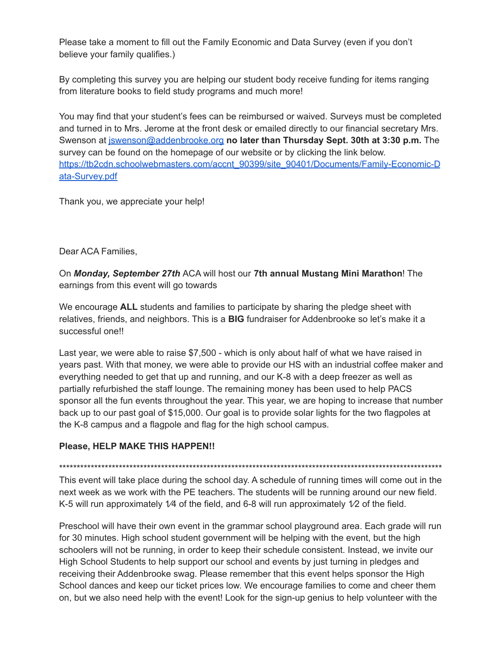Please take a moment to fill out the Family Economic and Data Survey (even if you don't believe your family qualifies.)

By completing this survey you are helping our student body receive funding for items ranging from literature books to field study programs and much more!

You may find that your student's fees can be reimbursed or waived. Surveys must be completed and turned in to Mrs. Jerome at the front desk or emailed directly to our financial secretary Mrs. Swenson at [jswenson@addenbrooke.org](mailto:jswenson@addenbrooke.org) **no later than Thursday Sept. 30th at 3:30 p.m.** The survey can be found on the homepage of our website or by clicking the link below. [https://tb2cdn.schoolwebmasters.com/accnt\\_90399/site\\_90401/Documents/Family-Economic-D](https://tb2cdn.schoolwebmasters.com/accnt_90399/site_90401/Documents/Family-Economic-Data-Survey.pdf) [ata-Survey.pdf](https://tb2cdn.schoolwebmasters.com/accnt_90399/site_90401/Documents/Family-Economic-Data-Survey.pdf)

Thank you, we appreciate your help!

Dear ACA Families,

On *Monday, September 27th* ACA will host our **7th annual Mustang Mini Marathon**! The earnings from this event will go towards

We encourage **ALL** students and families to participate by sharing the pledge sheet with relatives, friends, and neighbors. This is a **BIG** fundraiser for Addenbrooke so let's make it a successful one!!

Last year, we were able to raise \$7,500 - which is only about half of what we have raised in years past. With that money, we were able to provide our HS with an industrial coffee maker and everything needed to get that up and running, and our K-8 with a deep freezer as well as partially refurbished the staff lounge. The remaining money has been used to help PACS sponsor all the fun events throughout the year. This year, we are hoping to increase that number back up to our past goal of \$15,000. Our goal is to provide solar lights for the two flagpoles at the K-8 campus and a flagpole and flag for the high school campus.

### **Please, HELP MAKE THIS HAPPEN!!**

\*\*\*\*\*\*\*\*\*\*\*\*\*\*\*\*\*\*\*\*\*\*\*\*\*\*\*\*\*\*\*\*\*\*\*\*\*\*\*\*\*\*\*\*\*\*\*\*\*\*\*\*\*\*\*\*\*\*\*\*\*\*\*\*\*\*\*\*\*\*\*\*\*\*\*\*\*\*\*\*\*\*\*\*\*\*\*\*\*\*\*\*\*\*\*\*\*\*\*\*\*\*\*\*\*\*\*\*\*

This event will take place during the school day. A schedule of running times will come out in the next week as we work with the PE teachers. The students will be running around our new field. K-5 will run approximately  $1/4$  of the field, and 6-8 will run approximately  $1/2$  of the field.

Preschool will have their own event in the grammar school playground area. Each grade will run for 30 minutes. High school student government will be helping with the event, but the high schoolers will not be running, in order to keep their schedule consistent. Instead, we invite our High School Students to help support our school and events by just turning in pledges and receiving their Addenbrooke swag. Please remember that this event helps sponsor the High School dances and keep our ticket prices low. We encourage families to come and cheer them on, but we also need help with the event! Look for the sign-up genius to help volunteer with the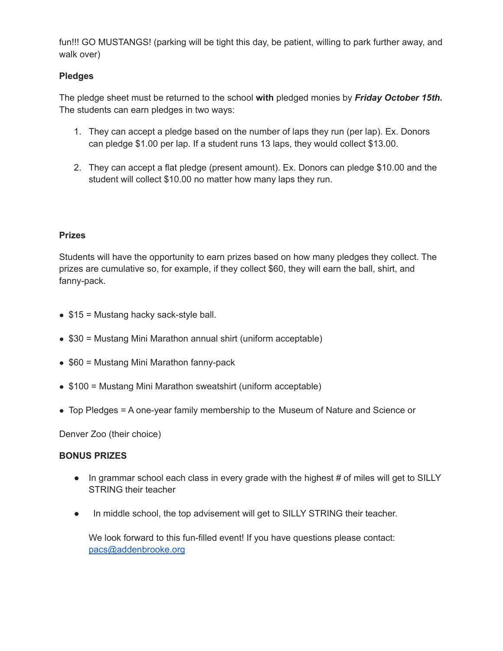fun!!! GO MUSTANGS! (parking will be tight this day, be patient, willing to park further away, and walk over)

## **Pledges**

The pledge sheet must be returned to the school **with** pledged monies by *Friday October 15th.* The students can earn pledges in two ways:

- 1. They can accept a pledge based on the number of laps they run (per lap). Ex. Donors can pledge \$1.00 per lap. If a student runs 13 laps, they would collect \$13.00.
- 2. They can accept a flat pledge (present amount). Ex. Donors can pledge \$10.00 and the student will collect \$10.00 no matter how many laps they run.

#### **Prizes**

Students will have the opportunity to earn prizes based on how many pledges they collect. The prizes are cumulative so, for example, if they collect \$60, they will earn the ball, shirt, and fanny-pack.

- $\bullet$  \$15 = Mustang hacky sack-style ball.
- \$30 = Mustang Mini Marathon annual shirt (uniform acceptable)
- \$60 = Mustang Mini Marathon fanny-pack
- \$100 = Mustang Mini Marathon sweatshirt (uniform acceptable)
- Top Pledges = A one-year family membership to the Museum of Nature and Science or

Denver Zoo (their choice)

#### **BONUS PRIZES**

- In grammar school each class in every grade with the highest # of miles will get to SILLY STRING their teacher
- In middle school, the top advisement will get to SILLY STRING their teacher.

We look forward to this fun-filled event! If you have questions please contact: [pacs@addenbrooke.org](mailto:pacs@addenbrooke.org)